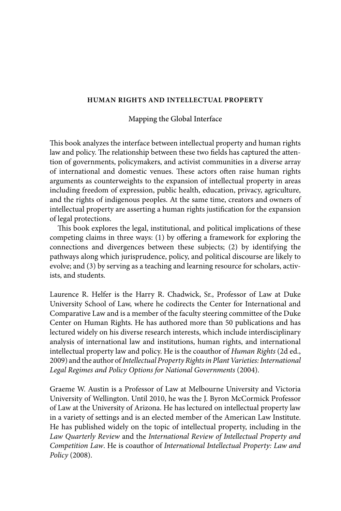#### **HUMAN RIGHTS AND INTELLECTUAL PROPERTY**

## Mapping the Global Interface

This book analyzes the interface between intellectual property and human rights law and policy. The relationship between these two fields has captured the attention of governments, policymakers, and activist communities in a diverse array of international and domestic venues. These actors often raise human rights arguments as counterweights to the expansion of intellectual property in areas including freedom of expression, public health, education, privacy, agriculture, and the rights of indigenous peoples. At the same time, creators and owners of intellectual property are asserting a human rights justification for the expansion of legal protections.

This book explores the legal, institutional, and political implications of these competing claims in three ways:  $(1)$  by offering a framework for exploring the connections and divergences between these subjects; (2) by identifying the pathways along which jurisprudence, policy, and political discourse are likely to evolve; and (3) by serving as a teaching and learning resource for scholars, activists, and students.

 Laurence R. Helfer is the Harry R. Chadwick, Sr., Professor of Law at Duke University School of Law, where he codirects the Center for International and Comparative Law and is a member of the faculty steering committee of the Duke Center on Human Rights. He has authored more than 50 publications and has lectured widely on his diverse research interests, which include interdisciplinary analysis of international law and institutions, human rights, and international intellectual property law and policy. He is the coauthor of *Human Rights* (2d ed., 2009 ) and the author of *Intellectual Property Rights in Plant Varieties: International Legal Regimes and Policy Options for National Governments* (2004).

 Graeme W. Austin is a Professor of Law at Melbourne University and Victoria University of Wellington. Until 2010, he was the J. Byron McCormick Professor of Law at the University of Arizona. He has lectured on intellectual property law in a variety of settings and is an elected member of the American Law Institute. He has published widely on the topic of intellectual property, including in the *Law Quarterly Review* and the *International Review of Intellectual Property and Competition Law* . He is coauthor of *International Intellectual Property: Law and Policy* (2008).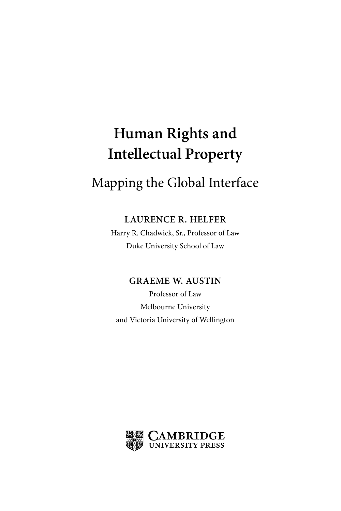# **Human Rights and Intellectual Property**

# Mapping the Global Interface

# **LAURENCE R. HELFER**

 Harry R. Chadwick, Sr., Professor of Law Duke University School of Law

# **GRAEME W. AUSTIN**

 Professor of Law Melbourne University and Victoria University of Wellington

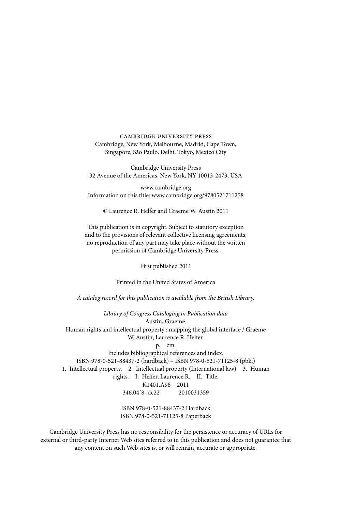cambridge university press Cambridge, New York, Melbourne, Madrid, Cape Town, Singapore, São Paulo, Delhi, Tokyo, Mexico City

 Cambridge University Press 32 Avenue of the Americas, New York, NY 10013-2473, USA

 www.cambridge.org Information on this title: www.cambridge.org/9780521711258

© Laurence R. Helfer and Graeme W. Austin 2011

This publication is in copyright. Subject to statutory exception and to the provisions of relevant collective licensing agreements, no reproduction of any part may take place without the written permission of Cambridge University Press.

First published 2011

Printed in the United States of America

 *A catalog record for this publication is available from the British Library.* 

 *Library of Congress Cataloging in Publication data*  Austin, Graeme. Human rights and intellectual property : mapping the global interface / Graeme W. Austin, Laurence R. Helfer. p. cm. Includes bibliographical references and index. ISBN 978-0-521-88437-2 (hardback) – ISBN 978-0-521-71125-8 (pbk.) 1. Intellectual property. 2. Intellectual property (International law) 3. Human

rights. I. Helfer, Laurence R. II. Title.

K1401.A98 2011

346.04′8–dc22 2010031359

 ISBN 978-0-521-88437-2 Hardback ISBN 978-0-521-71125-8 Paperback

 Cambridge University Press has no responsibility for the persistence or accuracy of URLs for external or third-party Internet Web sites referred to in this publication and does not guarantee that any content on such Web sites is, or will remain, accurate or appropriate.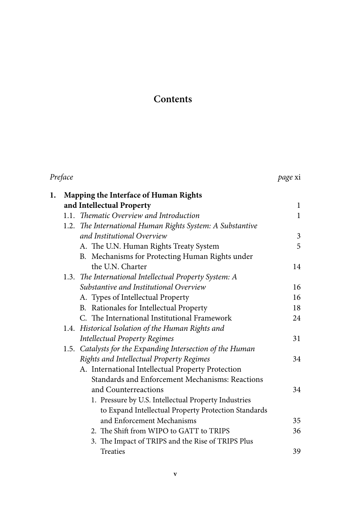# **Contents**

| Preface |  | page xi                                                    |              |
|---------|--|------------------------------------------------------------|--------------|
| 1.      |  | Mapping the Interface of Human Rights                      |              |
|         |  | and Intellectual Property                                  | 1            |
|         |  | 1.1. Thematic Overview and Introduction                    | $\mathbf{1}$ |
|         |  | 1.2. The International Human Rights System: A Substantive  |              |
|         |  | and Institutional Overview                                 | 3            |
|         |  | A. The U.N. Human Rights Treaty System                     | 5            |
|         |  | B. Mechanisms for Protecting Human Rights under            |              |
|         |  | the U.N. Charter                                           | 14           |
|         |  | 1.3. The International Intellectual Property System: A     |              |
|         |  | Substantive and Institutional Overview                     | 16           |
|         |  | A. Types of Intellectual Property                          | 16           |
|         |  | B. Rationales for Intellectual Property                    | 18           |
|         |  | C. The International Institutional Framework               | 24           |
|         |  | 1.4. Historical Isolation of the Human Rights and          |              |
|         |  | <b>Intellectual Property Regimes</b>                       | 31           |
|         |  | 1.5. Catalysts for the Expanding Intersection of the Human |              |
|         |  | Rights and Intellectual Property Regimes                   | 34           |
|         |  | A. International Intellectual Property Protection          |              |
|         |  | Standards and Enforcement Mechanisms: Reactions            |              |
|         |  | and Counterreactions                                       | 34           |
|         |  | 1. Pressure by U.S. Intellectual Property Industries       |              |
|         |  | to Expand Intellectual Property Protection Standards       |              |
|         |  | and Enforcement Mechanisms                                 | 35           |
|         |  | 2. The Shift from WIPO to GATT to TRIPS                    | 36           |
|         |  | 3. The Impact of TRIPS and the Rise of TRIPS Plus          |              |
|         |  | <b>Treaties</b>                                            | 39           |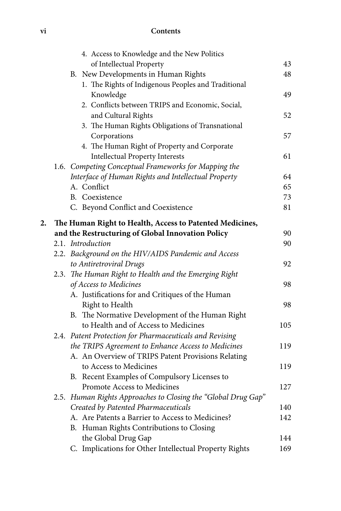# **vi Contents**

|    | 4. Access to Knowledge and the New Politics                   |     |
|----|---------------------------------------------------------------|-----|
|    | of Intellectual Property                                      | 43  |
|    | B. New Developments in Human Rights                           | 48  |
|    | 1. The Rights of Indigenous Peoples and Traditional           |     |
|    | Knowledge                                                     | 49  |
|    | 2. Conflicts between TRIPS and Economic, Social,              |     |
|    | and Cultural Rights                                           | 52  |
|    | 3. The Human Rights Obligations of Transnational              |     |
|    | Corporations                                                  | 57  |
|    | 4. The Human Right of Property and Corporate                  |     |
|    | <b>Intellectual Property Interests</b>                        | 61  |
|    | 1.6. Competing Conceptual Frameworks for Mapping the          |     |
|    | Interface of Human Rights and Intellectual Property           | 64  |
|    | A. Conflict                                                   | 65  |
|    | B. Coexistence                                                | 73  |
|    | C. Beyond Conflict and Coexistence                            | 81  |
| 2. | The Human Right to Health, Access to Patented Medicines,      |     |
|    | and the Restructuring of Global Innovation Policy             | 90  |
|    | 2.1. Introduction                                             | 90  |
|    | 2.2. Background on the HIV/AIDS Pandemic and Access           |     |
|    | to Antiretroviral Drugs                                       | 92  |
|    | 2.3. The Human Right to Health and the Emerging Right         |     |
|    | of Access to Medicines                                        | 98  |
|    | A. Justifications for and Critiques of the Human              |     |
|    | Right to Health                                               | 98  |
|    | B. The Normative Development of the Human Right               |     |
|    | to Health and of Access to Medicines                          | 105 |
|    | 2.4. Patent Protection for Pharmaceuticals and Revising       |     |
|    | the TRIPS Agreement to Enhance Access to Medicines            | 119 |
|    | A. An Overview of TRIPS Patent Provisions Relating            |     |
|    | to Access to Medicines                                        | 119 |
|    | B. Recent Examples of Compulsory Licenses to                  |     |
|    | Promote Access to Medicines                                   | 127 |
|    | 2.5. Human Rights Approaches to Closing the "Global Drug Gap" |     |
|    | Created by Patented Pharmaceuticals                           | 140 |
|    | A. Are Patents a Barrier to Access to Medicines?              | 142 |
|    | B. Human Rights Contributions to Closing                      |     |
|    |                                                               | 144 |
|    | the Global Drug Gap                                           | 169 |
|    | C. Implications for Other Intellectual Property Rights        |     |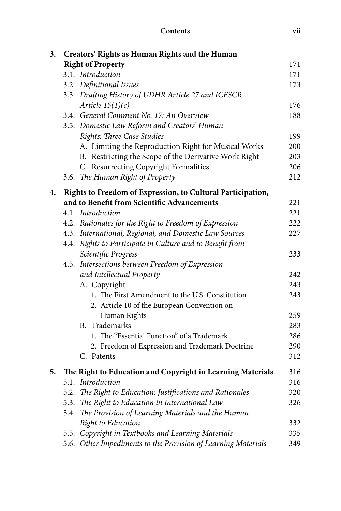| 3. | Creators' Rights as Human Rights and the Human                |     |
|----|---------------------------------------------------------------|-----|
|    | <b>Right of Property</b>                                      | 171 |
|    | 3.1. Introduction                                             | 171 |
|    | 3.2. Definitional Issues                                      | 173 |
|    | 3.3. Drafting History of UDHR Article 27 and ICESCR           |     |
|    | Article $15(1)(c)$                                            | 176 |
|    | 3.4. General Comment No. 17: An Overview                      | 188 |
|    | 3.5. Domestic Law Reform and Creators' Human                  |     |
|    | Rights: Three Case Studies                                    | 199 |
|    | A. Limiting the Reproduction Right for Musical Works          | 200 |
|    | B. Restricting the Scope of the Derivative Work Right         | 203 |
|    | C. Resurrecting Copyright Formalities                         | 206 |
|    | 3.6. The Human Right of Property                              | 212 |
| 4. | Rights to Freedom of Expression, to Cultural Participation,   |     |
|    | and to Benefit from Scientific Advancements                   | 221 |
|    | 4.1. Introduction                                             | 221 |
|    | 4.2. Rationales for the Right to Freedom of Expression        | 222 |
|    | 4.3. International, Regional, and Domestic Law Sources        | 227 |
|    | 4.4. Rights to Participate in Culture and to Benefit from     |     |
|    | Scientific Progress                                           | 233 |
|    | 4.5. Intersections between Freedom of Expression              |     |
|    | and Intellectual Property                                     | 242 |
|    | A. Copyright                                                  | 243 |
|    | 1. The First Amendment to the U.S. Constitution               | 243 |
|    | 2. Article 10 of the European Convention on                   |     |
|    | Human Rights                                                  | 259 |
|    | B. Trademarks                                                 | 283 |
|    | 1. The "Essential Function" of a Trademark                    | 286 |
|    | 2. Freedom of Expression and Trademark Doctrine               | 290 |
|    | C. Patents                                                    | 312 |
| 5. | The Right to Education and Copyright in Learning Materials    | 316 |
|    | 5.1. Introduction                                             | 316 |
|    | 5.2. The Right to Education: Justifications and Rationales    | 320 |
|    | 5.3. The Right to Education in International Law              | 326 |
|    | 5.4. The Provision of Learning Materials and the Human        |     |
|    | Right to Education                                            | 332 |
|    | 5.5. Copyright in Textbooks and Learning Materials            | 335 |
|    | 5.6. Other Impediments to the Provision of Learning Materials | 349 |

**Contents vii**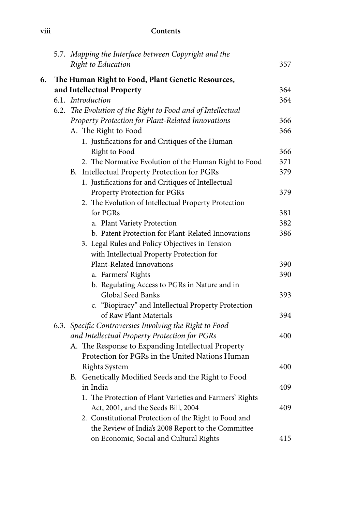# **viii Contents**

|    | 5.7. Mapping the Interface between Copyright and the<br>Right to Education | 357 |
|----|----------------------------------------------------------------------------|-----|
|    |                                                                            |     |
| 6. | The Human Right to Food, Plant Genetic Resources,                          |     |
|    | and Intellectual Property                                                  | 364 |
|    | 6.1. Introduction                                                          | 364 |
|    | 6.2. The Evolution of the Right to Food and of Intellectual                |     |
|    | Property Protection for Plant-Related Innovations                          | 366 |
|    | A. The Right to Food                                                       | 366 |
|    | 1. Justifications for and Critiques of the Human                           |     |
|    | Right to Food                                                              | 366 |
|    | 2. The Normative Evolution of the Human Right to Food                      | 371 |
|    | B. Intellectual Property Protection for PGRs                               | 379 |
|    | 1. Justifications for and Critiques of Intellectual                        |     |
|    | Property Protection for PGRs                                               | 379 |
|    | 2. The Evolution of Intellectual Property Protection                       |     |
|    | for PGRs                                                                   | 381 |
|    | a. Plant Variety Protection                                                | 382 |
|    | b. Patent Protection for Plant-Related Innovations                         | 386 |
|    | 3. Legal Rules and Policy Objectives in Tension                            |     |
|    | with Intellectual Property Protection for                                  |     |
|    | Plant-Related Innovations                                                  | 390 |
|    | a. Farmers' Rights                                                         | 390 |
|    | b. Regulating Access to PGRs in Nature and in                              |     |
|    | Global Seed Banks                                                          | 393 |
|    | c. "Biopiracy" and Intellectual Property Protection                        |     |
|    | of Raw Plant Materials                                                     | 394 |
|    | 6.3. Specific Controversies Involving the Right to Food                    |     |
|    | and Intellectual Property Protection for PGRs                              | 400 |
|    | A. The Response to Expanding Intellectual Property                         |     |
|    | Protection for PGRs in the United Nations Human                            |     |
|    | <b>Rights System</b>                                                       | 400 |
|    | B. Genetically Modified Seeds and the Right to Food                        |     |
|    | in India                                                                   | 409 |
|    | 1. The Protection of Plant Varieties and Farmers' Rights                   |     |
|    | Act, 2001, and the Seeds Bill, 2004                                        | 409 |
|    | 2. Constitutional Protection of the Right to Food and                      |     |
|    | the Review of India's 2008 Report to the Committee                         |     |
|    | on Economic, Social and Cultural Rights                                    | 415 |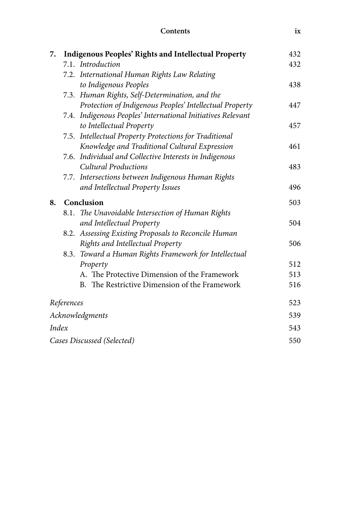|                 |                            | Contents                                                    | ix  |
|-----------------|----------------------------|-------------------------------------------------------------|-----|
| 7.              |                            | <b>Indigenous Peoples' Rights and Intellectual Property</b> | 432 |
|                 |                            | 7.1. Introduction                                           | 432 |
|                 |                            | 7.2. International Human Rights Law Relating                |     |
|                 |                            | to Indigenous Peoples                                       | 438 |
|                 |                            | 7.3. Human Rights, Self-Determination, and the              |     |
|                 |                            | Protection of Indigenous Peoples' Intellectual Property     | 447 |
|                 |                            | 7.4. Indigenous Peoples' International Initiatives Relevant |     |
|                 |                            | to Intellectual Property                                    | 457 |
|                 |                            | 7.5. Intellectual Property Protections for Traditional      |     |
|                 |                            | Knowledge and Traditional Cultural Expression               | 461 |
|                 |                            | 7.6. Individual and Collective Interests in Indigenous      |     |
|                 |                            | Cultural Productions                                        | 483 |
|                 |                            | 7.7. Intersections between Indigenous Human Rights          |     |
|                 |                            | and Intellectual Property Issues                            | 496 |
| 8.              |                            | Conclusion                                                  | 503 |
|                 |                            | 8.1. The Unavoidable Intersection of Human Rights           |     |
|                 |                            | and Intellectual Property                                   | 504 |
|                 |                            | 8.2. Assessing Existing Proposals to Reconcile Human        |     |
|                 |                            | Rights and Intellectual Property                            | 506 |
|                 |                            | 8.3. Toward a Human Rights Framework for Intellectual       |     |
|                 |                            | Property                                                    | 512 |
|                 |                            | A. The Protective Dimension of the Framework                | 513 |
|                 |                            | B. The Restrictive Dimension of the Framework               | 516 |
|                 | References                 |                                                             | 523 |
| Acknowledgments |                            | 539                                                         |     |
| Index           |                            | 543                                                         |     |
|                 | Cases Discussed (Selected) |                                                             | 550 |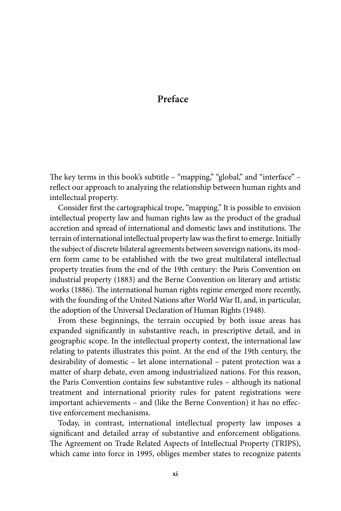# **Preface**

The key terms in this book's subtitle – "mapping," "global," and "interface" – reflect our approach to analyzing the relationship between human rights and intellectual property.

Consider first the cartographical trope, "mapping." It is possible to envision intellectual property law and human rights law as the product of the gradual accretion and spread of international and domestic laws and institutions. The terrain of international intellectual property law was the first to emerge. Initially the subject of discrete bilateral agreements between sovereign nations, its modern form came to be established with the two great multilateral intellectual property treaties from the end of the 19th century: the Paris Convention on industrial property (1883) and the Berne Convention on literary and artistic works (1886). The international human rights regime emerged more recently, with the founding of the United Nations after World War II, and, in particular, the adoption of the Universal Declaration of Human Rights (1948).

 From these beginnings, the terrain occupied by both issue areas has expanded significantly in substantive reach, in prescriptive detail, and in geographic scope. In the intellectual property context, the international law relating to patents illustrates this point. At the end of the 19th century, the desirability of domestic – let alone international – patent protection was a matter of sharp debate, even among industrialized nations. For this reason, the Paris Convention contains few substantive rules – although its national treatment and international priority rules for patent registrations were important achievements – and (like the Berne Convention) it has no effective enforcement mechanisms.

 Today, in contrast, international intellectual property law imposes a significant and detailed array of substantive and enforcement obligations. The Agreement on Trade Related Aspects of Intellectual Property (TRIPS), which came into force in 1995, obliges member states to recognize patents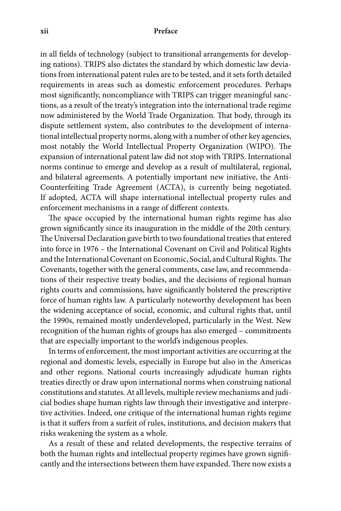## **xii Preface**

in all fields of technology (subject to transitional arrangements for developing nations). TRIPS also dictates the standard by which domestic law deviations from international patent rules are to be tested, and it sets forth detailed requirements in areas such as domestic enforcement procedures. Perhaps most significantly, noncompliance with TRIPS can trigger meaningful sanctions, as a result of the treaty's integration into the international trade regime now administered by the World Trade Organization. That body, through its dispute settlement system, also contributes to the development of international intellectual property norms, along with a number of other key agencies, most notably the World Intellectual Property Organization (WIPO). The expansion of international patent law did not stop with TRIPS. International norms continue to emerge and develop as a result of multilateral, regional, and bilateral agreements. A potentially important new initiative, the Anti-Counterfeiting Trade Agreement (ACTA), is currently being negotiated. If adopted, ACTA will shape international intellectual property rules and enforcement mechanisms in a range of different contexts.

The space occupied by the international human rights regime has also grown significantly since its inauguration in the middle of the 20th century. The Universal Declaration gave birth to two foundational treaties that entered into force in 1976 – the International Covenant on Civil and Political Rights and the International Covenant on Economic, Social, and Cultural Rights. The Covenants, together with the general comments, case law, and recommendations of their respective treaty bodies, and the decisions of regional human rights courts and commissions, have significantly bolstered the prescriptive force of human rights law. A particularly noteworthy development has been the widening acceptance of social, economic, and cultural rights that, until the 1990s, remained mostly underdeveloped, particularly in the West. New recognition of the human rights of groups has also emerged – commitments that are especially important to the world's indigenous peoples.

 In terms of enforcement, the most important activities are occurring at the regional and domestic levels, especially in Europe but also in the Americas and other regions. National courts increasingly adjudicate human rights treaties directly or draw upon international norms when construing national constitutions and statutes. At all levels, multiple review mechanisms and judicial bodies shape human rights law through their investigative and interpretive activities. Indeed, one critique of the international human rights regime is that it suffers from a surfeit of rules, institutions, and decision makers that risks weakening the system as a whole.

 As a result of these and related developments, the respective terrains of both the human rights and intellectual property regimes have grown significantly and the intersections between them have expanded. There now exists a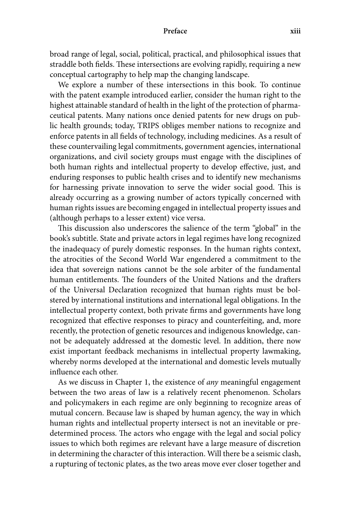## Preface xiii

broad range of legal, social, political, practical, and philosophical issues that straddle both fields. These intersections are evolving rapidly, requiring a new conceptual cartography to help map the changing landscape.

 We explore a number of these intersections in this book. To continue with the patent example introduced earlier, consider the human right to the highest attainable standard of health in the light of the protection of pharmaceutical patents. Many nations once denied patents for new drugs on public health grounds; today, TRIPS obliges member nations to recognize and enforce patents in all fields of technology, including medicines. As a result of these countervailing legal commitments, government agencies, international organizations, and civil society groups must engage with the disciplines of both human rights and intellectual property to develop effective, just, and enduring responses to public health crises and to identify new mechanisms for harnessing private innovation to serve the wider social good. This is already occurring as a growing number of actors typically concerned with human rights issues are becoming engaged in intellectual property issues and (although perhaps to a lesser extent) vice versa.

This discussion also underscores the salience of the term "global" in the book's subtitle. State and private actors in legal regimes have long recognized the inadequacy of purely domestic responses. In the human rights context, the atrocities of the Second World War engendered a commitment to the idea that sovereign nations cannot be the sole arbiter of the fundamental human entitlements. The founders of the United Nations and the drafters of the Universal Declaration recognized that human rights must be bolstered by international institutions and international legal obligations. In the intellectual property context, both private firms and governments have long recognized that effective responses to piracy and counterfeiting, and, more recently, the protection of genetic resources and indigenous knowledge, cannot be adequately addressed at the domestic level. In addition, there now exist important feedback mechanisms in intellectual property lawmaking, whereby norms developed at the international and domestic levels mutually influence each other.

As we discuss in Chapter 1, the existence of *any* meaningful engagement between the two areas of law is a relatively recent phenomenon. Scholars and policymakers in each regime are only beginning to recognize areas of mutual concern. Because law is shaped by human agency, the way in which human rights and intellectual property intersect is not an inevitable or predetermined process. The actors who engage with the legal and social policy issues to which both regimes are relevant have a large measure of discretion in determining the character of this interaction. Will there be a seismic clash, a rupturing of tectonic plates, as the two areas move ever closer together and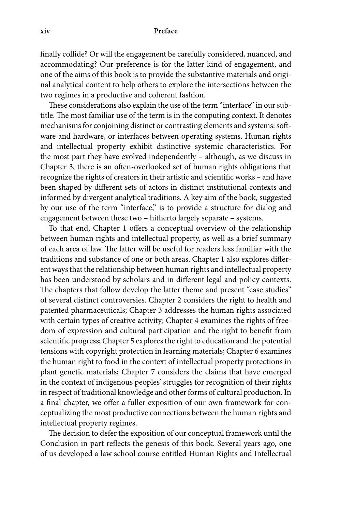## **xiv Preface**

finally collide? Or will the engagement be carefully considered, nuanced, and accommodating? Our preference is for the latter kind of engagement, and one of the aims of this book is to provide the substantive materials and original analytical content to help others to explore the intersections between the two regimes in a productive and coherent fashion.

These considerations also explain the use of the term "interface" in our subtitle. The most familiar use of the term is in the computing context. It denotes mechanisms for conjoining distinct or contrasting elements and systems: soft ware and hardware, or interfaces between operating systems. Human rights and intellectual property exhibit distinctive systemic characteristics. For the most part they have evolved independently – although, as we discuss in Chapter 3, there is an often-overlooked set of human rights obligations that recognize the rights of creators in their artistic and scientific works - and have been shaped by different sets of actors in distinct institutional contexts and informed by divergent analytical traditions. A key aim of the book, suggested by our use of the term "interface," is to provide a structure for dialog and engagement between these two – hitherto largely separate – systems.

To that end, Chapter 1 offers a conceptual overview of the relationship between human rights and intellectual property, as well as a brief summary of each area of law. The latter will be useful for readers less familiar with the traditions and substance of one or both areas. Chapter 1 also explores different ways that the relationship between human rights and intellectual property has been understood by scholars and in different legal and policy contexts. The chapters that follow develop the latter theme and present "case studies" of several distinct controversies. Chapter 2 considers the right to health and patented pharmaceuticals; Chapter 3 addresses the human rights associated with certain types of creative activity; Chapter 4 examines the rights of freedom of expression and cultural participation and the right to benefit from scientific progress; Chapter 5 explores the right to education and the potential tensions with copyright protection in learning materials; Chapter 6 examines the human right to food in the context of intellectual property protections in plant genetic materials; Chapter 7 considers the claims that have emerged in the context of indigenous peoples' struggles for recognition of their rights in respect of traditional knowledge and other forms of cultural production. In a final chapter, we offer a fuller exposition of our own framework for conceptualizing the most productive connections between the human rights and intellectual property regimes.

The decision to defer the exposition of our conceptual framework until the Conclusion in part reflects the genesis of this book. Several years ago, one of us developed a law school course entitled Human Rights and Intellectual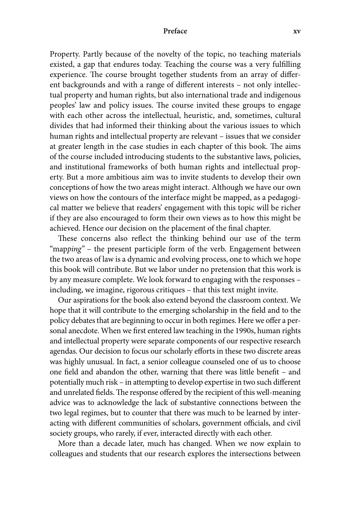## **Preface xv**

Property. Partly because of the novelty of the topic, no teaching materials existed, a gap that endures today. Teaching the course was a very fulfilling experience. The course brought together students from an array of different backgrounds and with a range of different interests – not only intellectual property and human rights, but also international trade and indigenous peoples' law and policy issues. The course invited these groups to engage with each other across the intellectual, heuristic, and, sometimes, cultural divides that had informed their thinking about the various issues to which human rights and intellectual property are relevant – issues that we consider at greater length in the case studies in each chapter of this book. The aims of the course included introducing students to the substantive laws, policies, and institutional frameworks of both human rights and intellectual property. But a more ambitious aim was to invite students to develop their own conceptions of how the two areas might interact. Although we have our own views on how the contours of the interface might be mapped, as a pedagogical matter we believe that readers' engagement with this topic will be richer if they are also encouraged to form their own views as to how this might be achieved. Hence our decision on the placement of the final chapter.

These concerns also reflect the thinking behind our use of the term "mapping" – the present participle form of the verb. Engagement between the two areas of law is a dynamic and evolving process, one to which we hope this book will contribute. But we labor under no pretension that this work is by any measure complete. We look forward to engaging with the responses – including, we imagine, rigorous critiques – that this text might invite.

 Our aspirations for the book also extend beyond the classroom context. We hope that it will contribute to the emerging scholarship in the field and to the policy debates that are beginning to occur in both regimes. Here we offer a personal anecdote. When we first entered law teaching in the 1990s, human rights and intellectual property were separate components of our respective research agendas. Our decision to focus our scholarly efforts in these two discrete areas was highly unusual. In fact, a senior colleague counseled one of us to choose one field and abandon the other, warning that there was little benefit - and potentially much risk – in attempting to develop expertise in two such different and unrelated fields. The response offered by the recipient of this well-meaning advice was to acknowledge the lack of substantive connections between the two legal regimes, but to counter that there was much to be learned by interacting with different communities of scholars, government officials, and civil society groups, who rarely, if ever, interacted directly with each other.

 More than a decade later, much has changed. When we now explain to colleagues and students that our research explores the intersections between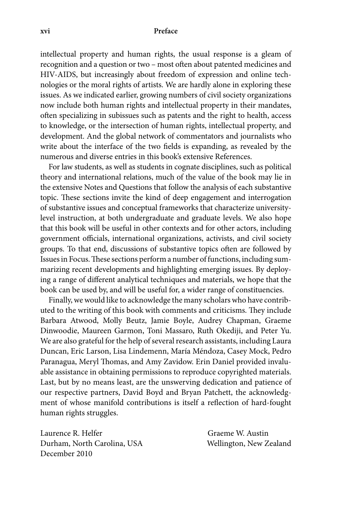## **xvi Preface**

intellectual property and human rights, the usual response is a gleam of recognition and a question or two – most often about patented medicines and HIV-AIDS, but increasingly about freedom of expression and online technologies or the moral rights of artists. We are hardly alone in exploring these issues. As we indicated earlier, growing numbers of civil society organizations now include both human rights and intellectual property in their mandates, often specializing in subissues such as patents and the right to health, access to knowledge, or the intersection of human rights, intellectual property, and development. And the global network of commentators and journalists who write about the interface of the two fields is expanding, as revealed by the numerous and diverse entries in this book's extensive References.

 For law students, as well as students in cognate disciplines, such as political theory and international relations, much of the value of the book may lie in the extensive Notes and Questions that follow the analysis of each substantive topic. These sections invite the kind of deep engagement and interrogation of substantive issues and conceptual frameworks that characterize universitylevel instruction, at both undergraduate and graduate levels. We also hope that this book will be useful in other contexts and for other actors, including government officials, international organizations, activists, and civil society groups. To that end, discussions of substantive topics often are followed by Issues in Focus. These sections perform a number of functions, including summarizing recent developments and highlighting emerging issues. By deploying a range of different analytical techniques and materials, we hope that the book can be used by, and will be useful for, a wider range of constituencies.

 Finally, we would like to acknowledge the many scholars who have contributed to the writing of this book with comments and criticisms. They include Barbara Atwood, Molly Beutz, Jamie Boyle, Audrey Chapman, Graeme Dinwoodie, Maureen Garmon, Toni Massaro, Ruth Okediji, and Peter Yu. We are also grateful for the help of several research assistants, including Laura Duncan, Eric Larson, Lisa Lindemenn, María Méndoza, Casey Mock, Pedro Paranagua, Meryl Thomas, and Amy Zavidow. Erin Daniel provided invaluable assistance in obtaining permissions to reproduce copyrighted materials. Last, but by no means least, are the unswerving dedication and patience of our respective partners, David Boyd and Bryan Patchett, the acknowledgment of whose manifold contributions is itself a reflection of hard-fought human rights struggles.

Laurence R. Helfer Graeme W. Austin Durham, North Carolina, USA Wellington, New Zealand December 2010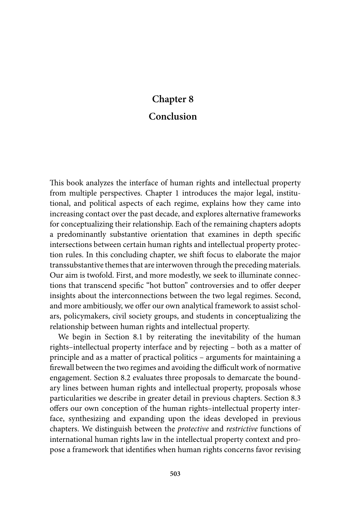# **Chapter 8**

# **Conclusion**

This book analyzes the interface of human rights and intellectual property from multiple perspectives. Chapter 1 introduces the major legal, institutional, and political aspects of each regime, explains how they came into increasing contact over the past decade, and explores alternative frameworks for conceptualizing their relationship. Each of the remaining chapters adopts a predominantly substantive orientation that examines in depth specific intersections between certain human rights and intellectual property protection rules. In this concluding chapter, we shift focus to elaborate the major transsubstantive themes that are interwoven through the preceding materials. Our aim is twofold. First, and more modestly, we seek to illuminate connections that transcend specific "hot button" controversies and to offer deeper insights about the interconnections between the two legal regimes. Second, and more ambitiously, we offer our own analytical framework to assist scholars, policymakers, civil society groups, and students in conceptualizing the relationship between human rights and intellectual property.

 We begin in Section 8.1 by reiterating the inevitability of the human rights–intellectual property interface and by rejecting – both as a matter of principle and as a matter of practical politics – arguments for maintaining a firewall between the two regimes and avoiding the difficult work of normative engagement. Section 8.2 evaluates three proposals to demarcate the boundary lines between human rights and intellectual property, proposals whose particularities we describe in greater detail in previous chapters. Section 8.3 offers our own conception of the human rights-intellectual property interface, synthesizing and expanding upon the ideas developed in previous chapters. We distinguish between the *protective* and *restrictive* functions of international human rights law in the intellectual property context and propose a framework that identifies when human rights concerns favor revising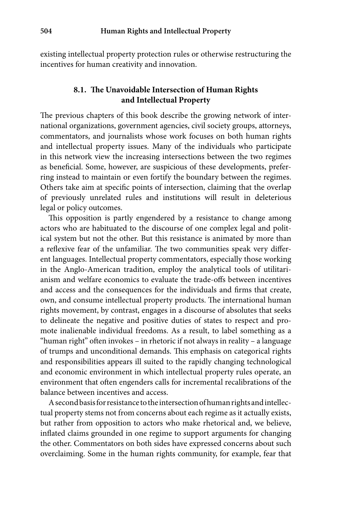existing intellectual property protection rules or otherwise restructuring the incentives for human creativity and innovation.

## 8.1. The Unavoidable Intersection of Human Rights **and Intellectual Property**

The previous chapters of this book describe the growing network of international organizations, government agencies, civil society groups, attorneys, commentators, and journalists whose work focuses on both human rights and intellectual property issues. Many of the individuals who participate in this network view the increasing intersections between the two regimes as beneficial. Some, however, are suspicious of these developments, preferring instead to maintain or even fortify the boundary between the regimes. Others take aim at specific points of intersection, claiming that the overlap of previously unrelated rules and institutions will result in deleterious legal or policy outcomes.

This opposition is partly engendered by a resistance to change among actors who are habituated to the discourse of one complex legal and political system but not the other. But this resistance is animated by more than a reflexive fear of the unfamiliar. The two communities speak very different languages. Intellectual property commentators, especially those working in the Anglo-American tradition, employ the analytical tools of utilitarianism and welfare economics to evaluate the trade-offs between incentives and access and the consequences for the individuals and firms that create, own, and consume intellectual property products. The international human rights movement, by contrast, engages in a discourse of absolutes that seeks to delineate the negative and positive duties of states to respect and promote inalienable individual freedoms. As a result, to label something as a "human right" often invokes – in rhetoric if not always in reality – a language of trumps and unconditional demands. This emphasis on categorical rights and responsibilities appears ill suited to the rapidly changing technological and economic environment in which intellectual property rules operate, an environment that often engenders calls for incremental recalibrations of the balance between incentives and access.

 A second basis for resistance to the intersection of human rights and intellectual property stems not from concerns about each regime as it actually exists, but rather from opposition to actors who make rhetorical and, we believe, inflated claims grounded in one regime to support arguments for changing the other. Commentators on both sides have expressed concerns about such overclaiming. Some in the human rights community, for example, fear that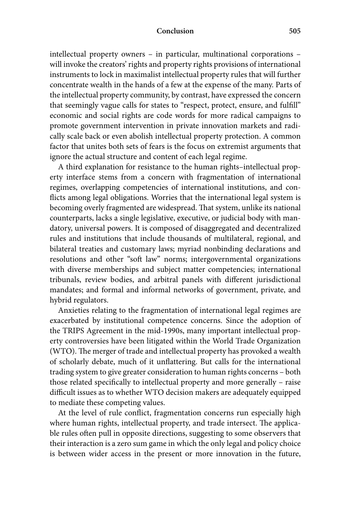intellectual property owners – in particular, multinational corporations – will invoke the creators' rights and property rights provisions of international instruments to lock in maximalist intellectual property rules that will further concentrate wealth in the hands of a few at the expense of the many. Parts of the intellectual property community, by contrast, have expressed the concern that seemingly vague calls for states to "respect, protect, ensure, and fulfill" economic and social rights are code words for more radical campaigns to promote government intervention in private innovation markets and radically scale back or even abolish intellectual property protection. A common factor that unites both sets of fears is the focus on extremist arguments that ignore the actual structure and content of each legal regime.

 A third explanation for resistance to the human rights–intellectual property interface stems from a concern with fragmentation of international regimes, overlapping competencies of international institutions, and conflicts among legal obligations. Worries that the international legal system is becoming overly fragmented are widespread. That system, unlike its national counterparts, lacks a single legislative, executive, or judicial body with mandatory, universal powers. It is composed of disaggregated and decentralized rules and institutions that include thousands of multilateral, regional, and bilateral treaties and customary laws; myriad nonbinding declarations and resolutions and other "soft law" norms; intergovernmental organizations with diverse memberships and subject matter competencies; international tribunals, review bodies, and arbitral panels with different jurisdictional mandates; and formal and informal networks of government, private, and hybrid regulators.

 Anxieties relating to the fragmentation of international legal regimes are exacerbated by institutional competence concerns. Since the adoption of the TRIPS Agreement in the mid-1990s, many important intellectual property controversies have been litigated within the World Trade Organization (WTO). The merger of trade and intellectual property has provoked a wealth of scholarly debate, much of it unflattering. But calls for the international trading system to give greater consideration to human rights concerns – both those related specifically to intellectual property and more generally – raise difficult issues as to whether WTO decision makers are adequately equipped to mediate these competing values.

At the level of rule conflict, fragmentation concerns run especially high where human rights, intellectual property, and trade intersect. The applicable rules often pull in opposite directions, suggesting to some observers that their interaction is a zero sum game in which the only legal and policy choice is between wider access in the present or more innovation in the future,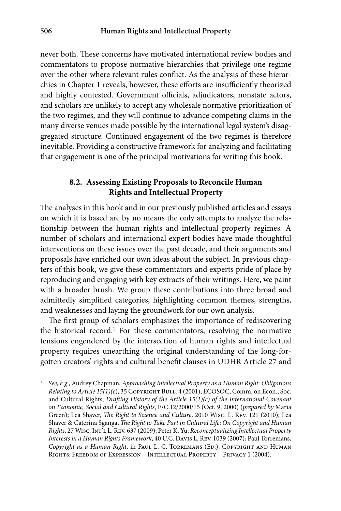never both. These concerns have motivated international review bodies and commentators to propose normative hierarchies that privilege one regime over the other where relevant rules conflict. As the analysis of these hierarchies in Chapter 1 reveals, however, these efforts are insufficiently theorized and highly contested. Government officials, adjudicators, nonstate actors, and scholars are unlikely to accept any wholesale normative prioritization of the two regimes, and they will continue to advance competing claims in the many diverse venues made possible by the international legal system's disaggregated structure. Continued engagement of the two regimes is therefore inevitable. Providing a constructive framework for analyzing and facilitating that engagement is one of the principal motivations for writing this book.

## **8.2. Assessing Existing Proposals to Reconcile Human Rights and Intellectual Property**

The analyses in this book and in our previously published articles and essays on which it is based are by no means the only attempts to analyze the relationship between the human rights and intellectual property regimes. A number of scholars and international expert bodies have made thoughtful interventions on these issues over the past decade, and their arguments and proposals have enriched our own ideas about the subject. In previous chapters of this book, we give these commentators and experts pride of place by reproducing and engaging with key extracts of their writings. Here, we paint with a broader brush. We group these contributions into three broad and admittedly simplified categories, highlighting common themes, strengths, and weaknesses and laying the groundwork for our own analysis.

The first group of scholars emphasizes the importance of rediscovering the historical record.<sup>1</sup> For these commentators, resolving the normative tensions engendered by the intersection of human rights and intellectual property requires unearthing the original understanding of the long-forgotten creators' rights and cultural benefit clauses in UDHR Article 27 and

1 *See, e.g* ., Audrey Chapman, *Approaching Intellectual Property as a Human Right: Obligations Relating to Article 15(1)(c)*, 35 COPYRIGHT BULL. 4 (2001); ECOSOC, Comm. on Econ., Soc. and Cultural Rights, *Drafting History of the Article 15(1)(c) of the International Covenant on Economic, Social and Cultural Rights* , E/C.12/2000/15 (Oct. 9, 2000) ( *prepared by* Maria Green); Lea Shaver, *The Right to Science and Culture*, 2010 Wisc. L. Rev. 121 (2010); Lea Shaver & Caterina Sganga, *The Right to Take Part in Cultural Life*: On Copyright and Human *Rights* , 27 Wisc. Int'l L. Rev . 637 (2009); Peter K. Yu, *Reconceptualizing Intellectual Property Interests in a Human Rights Framework* , 40 U.C. Davis L. Rev . 1039 (2007); Paul Torremans, Copyright as a Human Right, in PAUL L. C. TORREMANS (ED.), COPYRIGHT AND HUMAN RIGHTS: FREEDOM OF EXPRESSION - INTELLECTUAL PROPERTY - PRIVACY 1 (2004).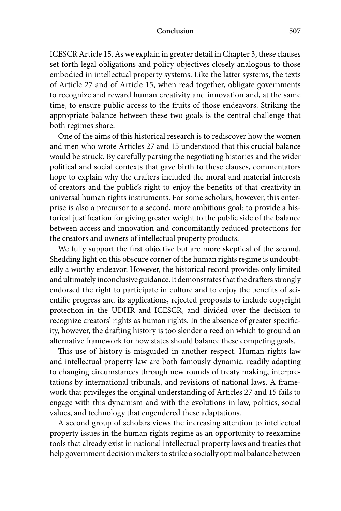ICESCR Article 15. As we explain in greater detail in Chapter 3, these clauses set forth legal obligations and policy objectives closely analogous to those embodied in intellectual property systems. Like the latter systems, the texts of Article 27 and of Article 15, when read together, obligate governments to recognize and reward human creativity and innovation and, at the same time, to ensure public access to the fruits of those endeavors. Striking the appropriate balance between these two goals is the central challenge that both regimes share.

 One of the aims of this historical research is to rediscover how the women and men who wrote Articles 27 and 15 understood that this crucial balance would be struck. By carefully parsing the negotiating histories and the wider political and social contexts that gave birth to these clauses, commentators hope to explain why the drafters included the moral and material interests of creators and the public's right to enjoy the benefits of that creativity in universal human rights instruments. For some scholars, however, this enterprise is also a precursor to a second, more ambitious goal: to provide a historical justification for giving greater weight to the public side of the balance between access and innovation and concomitantly reduced protections for the creators and owners of intellectual property products.

We fully support the first objective but are more skeptical of the second. Shedding light on this obscure corner of the human rights regime is undoubtedly a worthy endeavor. However, the historical record provides only limited and ultimately inconclusive guidance. It demonstrates that the drafters strongly endorsed the right to participate in culture and to enjoy the benefits of scientific progress and its applications, rejected proposals to include copyright protection in the UDHR and ICESCR, and divided over the decision to recognize creators' rights as human rights. In the absence of greater specificity, however, the drafting history is too slender a reed on which to ground an alternative framework for how states should balance these competing goals.

This use of history is misguided in another respect. Human rights law and intellectual property law are both famously dynamic, readily adapting to changing circumstances through new rounds of treaty making, interpretations by international tribunals, and revisions of national laws. A framework that privileges the original understanding of Articles 27 and 15 fails to engage with this dynamism and with the evolutions in law, politics, social values, and technology that engendered these adaptations.

 A second group of scholars views the increasing attention to intellectual property issues in the human rights regime as an opportunity to reexamine tools that already exist in national intellectual property laws and treaties that help government decision makers to strike a socially optimal balance between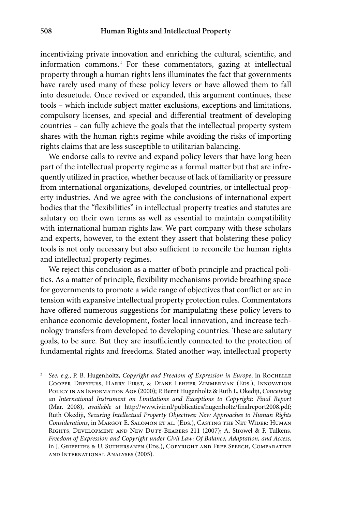incentivizing private innovation and enriching the cultural, scientific, and information commons.<sup>2</sup> For these commentators, gazing at intellectual property through a human rights lens illuminates the fact that governments have rarely used many of these policy levers or have allowed them to fall into desuetude. Once revived or expanded, this argument continues, these tools – which include subject matter exclusions, exceptions and limitations, compulsory licenses, and special and differential treatment of developing countries – can fully achieve the goals that the intellectual property system shares with the human rights regime while avoiding the risks of importing rights claims that are less susceptible to utilitarian balancing.

 We endorse calls to revive and expand policy levers that have long been part of the intellectual property regime as a formal matter but that are infrequently utilized in practice, whether because of lack of familiarity or pressure from international organizations, developed countries, or intellectual property industries. And we agree with the conclusions of international expert bodies that the "flexibilities" in intellectual property treaties and statutes are salutary on their own terms as well as essential to maintain compatibility with international human rights law. We part company with these scholars and experts, however, to the extent they assert that bolstering these policy tools is not only necessary but also sufficient to reconcile the human rights and intellectual property regimes.

 We reject this conclusion as a matter of both principle and practical politics. As a matter of principle, flexibility mechanisms provide breathing space for governments to promote a wide range of objectives that conflict or are in tension with expansive intellectual property protection rules. Commentators have offered numerous suggestions for manipulating these policy levers to enhance economic development, foster local innovation, and increase technology transfers from developed to developing countries. These are salutary goals, to be sure. But they are insufficiently connected to the protection of fundamental rights and freedoms. Stated another way, intellectual property

<sup>2</sup> See, e.g., P. B. Hugenholtz, *Copyright and Freedom of Expression in Europe*, in ROCHELLE Cooper Dreyfuss, Harry First, & Diane Leheer Zimmerman (Eds.), Innovation Policy in an Information Age (2000); P. Bernt Hugenholtz & Ruth L. Okediji, *Conceiving an International Instrument on Limitations and Exceptions to Copyright: Final Report* (Mar. 2008), *available at* http://www.ivir.nl/publicaties/hugenholtz/finalreport2008.pdf; Ruth Okediji, *Securing Intellectual Property Objectives: New Approaches to Human Rights*  Considerations, in MARGOT E. SALOMON ET AL. (EDS.), CASTING THE NET WIDER: HUMAN Rights, Development and New Duty-Bearers 211 ( 2007 ); A. Strowel & F. Tulkens, *Freedom of Expression and Copyright under Civil Law: Of Balance, Adaptation, and Access* , in J. Griffiths & U. Suthersanen (Eds .), Copyright and Free Speech, Comparative AND INTERNATIONAL ANALYSES (2005).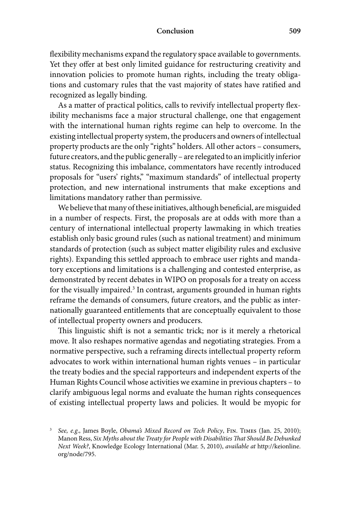flexibility mechanisms expand the regulatory space available to governments. Yet they offer at best only limited guidance for restructuring creativity and innovation policies to promote human rights, including the treaty obligations and customary rules that the vast majority of states have ratified and recognized as legally binding.

As a matter of practical politics, calls to revivify intellectual property flexibility mechanisms face a major structural challenge, one that engagement with the international human rights regime can help to overcome. In the existing intellectual property system, the producers and owners of intellectual property products are the only "rights" holders. All other actors – consumers, future creators, and the public generally – are relegated to an implicitly inferior status. Recognizing this imbalance, commentators have recently introduced proposals for "users' rights," "maximum standards" of intellectual property protection, and new international instruments that make exceptions and limitations mandatory rather than permissive.

We believe that many of these initiatives, although beneficial, are misguided in a number of respects. First, the proposals are at odds with more than a century of international intellectual property lawmaking in which treaties establish only basic ground rules (such as national treatment) and minimum standards of protection (such as subject matter eligibility rules and exclusive rights). Expanding this settled approach to embrace user rights and mandatory exceptions and limitations is a challenging and contested enterprise, as demonstrated by recent debates in WIPO on proposals for a treaty on access for the visually impaired.<sup>3</sup> In contrast, arguments grounded in human rights reframe the demands of consumers, future creators, and the public as internationally guaranteed entitlements that are conceptually equivalent to those of intellectual property owners and producers.

This linguistic shift is not a semantic trick; nor is it merely a rhetorical move. It also reshapes normative agendas and negotiating strategies. From a normative perspective, such a reframing directs intellectual property reform advocates to work within international human rights venues – in particular the treaty bodies and the special rapporteurs and independent experts of the Human Rights Council whose activities we examine in previous chapters – to clarify ambiguous legal norms and evaluate the human rights consequences of existing intellectual property laws and policies. It would be myopic for

<sup>3</sup> *See, e.g* ., James Boyle, *Obama's Mixed Record on Tech Policy* , Fin. Times (Jan. 25, 2010); Manon Ress, *Six Myths about the Treaty for People with Disabilities That Should Be Debunked Next Week?* , Knowledge Ecology International (Mar. 5, 2010), *available at* http://keionline. org/node/795 .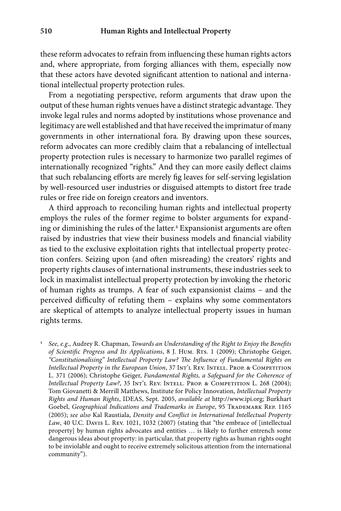these reform advocates to refrain from influencing these human rights actors and, where appropriate, from forging alliances with them, especially now that these actors have devoted significant attention to national and international intellectual property protection rules.

 From a negotiating perspective, reform arguments that draw upon the output of these human rights venues have a distinct strategic advantage. They invoke legal rules and norms adopted by institutions whose provenance and legitimacy are well established and that have received the imprimatur of many governments in other international fora. By drawing upon these sources, reform advocates can more credibly claim that a rebalancing of intellectual property protection rules is necessary to harmonize two parallel regimes of internationally recognized "rights." And they can more easily deflect claims that such rebalancing efforts are merely fig leaves for self-serving legislation by well-resourced user industries or disguised attempts to distort free trade rules or free ride on foreign creators and inventors.

 A third approach to reconciling human rights and intellectual property employs the rules of the former regime to bolster arguments for expanding or diminishing the rules of the latter.<sup>4</sup> Expansionist arguments are often raised by industries that view their business models and financial viability as tied to the exclusive exploitation rights that intellectual property protection confers. Seizing upon (and often misreading) the creators' rights and property rights clauses of international instruments, these industries seek to lock in maximalist intellectual property protection by invoking the rhetoric of human rights as trumps. A fear of such expansionist claims – and the perceived difficulty of refuting them - explains why some commentators are skeptical of attempts to analyze intellectual property issues in human rights terms.

<sup>4</sup> See, e.g., Audrey R. Chapman, *Towards an Understanding of the Right to Enjoy the Benefits* of Scientific Progress and Its Applications, 8 J. HUM. RTs. 1 (2009); Christophe Geiger, "Constitutionalising" Intellectual Property Law? The Influence of Fundamental Rights on *Intellectual Property in the European Union*, 37 Int'l Rev. Intell. Prop. & Competition L . 371 (2006); Christophe Geiger, *Fundamental Rights, a Safeguard for the Coherence of Intellectual Property Law?*, 35 Int'l REV. INTELL. PROP. & COMPETITION L. 268 (2004); Tom Giovanetti & Merrill Matthews, Institute for Policy Innovation, *Intellectual Property Rights and Human Rights* , IDEAS, Sept. 2005, *available at* http://www.ipi.org ; Burkhart Goebel, *Geographical Indications and Trademarks in Europe*, 95 TRADEMARK REP. 1165 (2005); see also Kal Raustiala, *Density and Conflict in International Intellectual Property* Law, 40 U.C. Davis L. Rev. 1021, 1032 (2007) (stating that "the embrace of [intellectual property] by human rights advocates and entities … is likely to further entrench some dangerous ideas about property: in particular, that property rights as human rights ought to be inviolable and ought to receive extremely solicitous attention from the international community").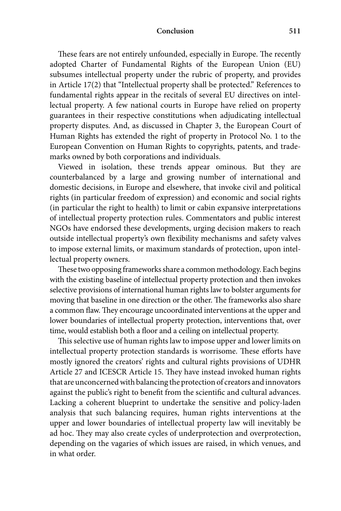These fears are not entirely unfounded, especially in Europe. The recently adopted Charter of Fundamental Rights of the European Union (EU) subsumes intellectual property under the rubric of property, and provides in Article 17(2) that "Intellectual property shall be protected." References to fundamental rights appear in the recitals of several EU directives on intellectual property. A few national courts in Europe have relied on property guarantees in their respective constitutions when adjudicating intellectual property disputes. And, as discussed in Chapter 3, the European Court of Human Rights has extended the right of property in Protocol No. 1 to the European Convention on Human Rights to copyrights, patents, and trademarks owned by both corporations and individuals.

 Viewed in isolation, these trends appear ominous. But they are counterbalanced by a large and growing number of international and domestic decisions, in Europe and elsewhere, that invoke civil and political rights (in particular freedom of expression) and economic and social rights (in particular the right to health) to limit or cabin expansive interpretations of intellectual property protection rules. Commentators and public interest NGOs have endorsed these developments, urging decision makers to reach outside intellectual property's own flexibility mechanisms and safety valves to impose external limits, or maximum standards of protection, upon intellectual property owners.

These two opposing frameworks share a common methodology. Each begins with the existing baseline of intellectual property protection and then invokes selective provisions of international human rights law to bolster arguments for moving that baseline in one direction or the other. The frameworks also share a common flaw. They encourage uncoordinated interventions at the upper and lower boundaries of intellectual property protection, interventions that, over time, would establish both a floor and a ceiling on intellectual property.

This selective use of human rights law to impose upper and lower limits on intellectual property protection standards is worrisome. These efforts have mostly ignored the creators' rights and cultural rights provisions of UDHR Article 27 and ICESCR Article 15. They have instead invoked human rights that are unconcerned with balancing the protection of creators and innovators against the public's right to benefit from the scientific and cultural advances. Lacking a coherent blueprint to undertake the sensitive and policy-laden analysis that such balancing requires, human rights interventions at the upper and lower boundaries of intellectual property law will inevitably be ad hoc. They may also create cycles of underprotection and overprotection, depending on the vagaries of which issues are raised, in which venues, and in what order.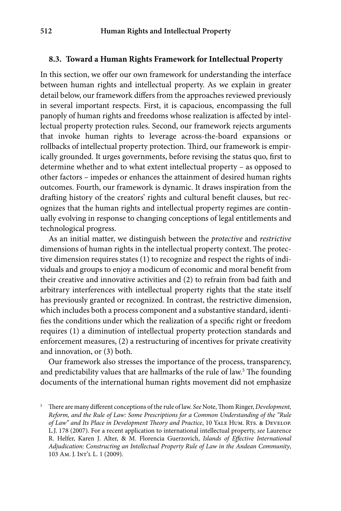#### **8.3. Toward a Human Rights Framework for Intellectual Property**

In this section, we offer our own framework for understanding the interface between human rights and intellectual property. As we explain in greater detail below, our framework differs from the approaches reviewed previously in several important respects. First, it is capacious, encompassing the full panoply of human rights and freedoms whose realization is affected by intellectual property protection rules. Second, our framework rejects arguments that invoke human rights to leverage across-the-board expansions or rollbacks of intellectual property protection. Third, our framework is empirically grounded. It urges governments, before revising the status quo, first to determine whether and to what extent intellectual property – as opposed to other factors – impedes or enhances the attainment of desired human rights outcomes. Fourth, our framework is dynamic. It draws inspiration from the drafting history of the creators' rights and cultural benefit clauses, but recognizes that the human rights and intellectual property regimes are continually evolving in response to changing conceptions of legal entitlements and technological progress.

 As an initial matter, we distinguish between the *protective* and *restrictive* dimensions of human rights in the intellectual property context. The protective dimension requires states (1) to recognize and respect the rights of individuals and groups to enjoy a modicum of economic and moral benefit from their creative and innovative activities and (2) to refrain from bad faith and arbitrary interferences with intellectual property rights that the state itself has previously granted or recognized. In contrast, the restrictive dimension, which includes both a process component and a substantive standard, identifies the conditions under which the realization of a specific right or freedom requires (1) a diminution of intellectual property protection standards and enforcement measures, (2) a restructuring of incentives for private creativity and innovation, or (3) both.

 Our framework also stresses the importance of the process, transparency, and predictability values that are hallmarks of the rule of law.<sup>5</sup> The founding documents of the international human rights movement did not emphasize

<sup>&</sup>lt;sup>5</sup> There are many different conceptions of the rule of law. See Note, Thom Ringer, *Development*, *Reform, and the Rule of Law: Some Prescriptions for a Common Understanding of the "Rule*  of Law" and Its Place in Development Theory and Practice, 10 YALE HUM. RTS. & DEVELOP. L.J. 178 (2007). For a recent application to international intellectual property, see Laurence R. Helfer, Karen J. Alter, & M. Florencia Guerzovich, *Islands of Effective International Adjudication: Constructing an Intellectual Property Rule of Law in the Andean Community* , 103 Am. J. Int'l L. 1 (2009).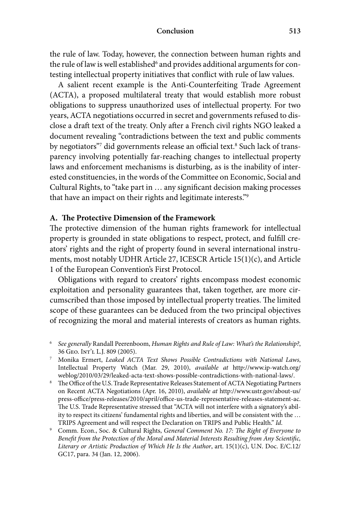the rule of law. Today, however, the connection between human rights and the rule of law is well established<sup>6</sup> and provides additional arguments for contesting intellectual property initiatives that conflict with rule of law values.

 A salient recent example is the Anti-Counterfeiting Trade Agreement (ACTA), a proposed multilateral treaty that would establish more robust obligations to suppress unauthorized uses of intellectual property. For two years, ACTA negotiations occurred in secret and governments refused to disclose a draft text of the treaty. Only after a French civil rights NGO leaked a document revealing "contradictions between the text and public comments by negotiators"<sup>7</sup> did governments release an official text.<sup>8</sup> Such lack of transparency involving potentially far-reaching changes to intellectual property laws and enforcement mechanisms is disturbing, as is the inability of interested constituencies, in the words of the Committee on Economic, Social and Cultural Rights, to "take part in ... any significant decision making processes that have an impact on their rights and legitimate interests."<sup>9</sup>

## A. The Protective Dimension of the Framework

The protective dimension of the human rights framework for intellectual property is grounded in state obligations to respect, protect, and fulfill creators' rights and the right of property found in several international instruments, most notably UDHR Article 27, ICESCR Article 15(1)(c), and Article 1 of the European Convention's First Protocol.

 Obligations with regard to creators' rights encompass modest economic exploitation and personality guarantees that, taken together, are more circumscribed than those imposed by intellectual property treaties. The limited scope of these guarantees can be deduced from the two principal objectives of recognizing the moral and material interests of creators as human rights.

6 *See generally* Randall Peerenboom, *Human Rights and Rule of Law: What's the Relationship?* , 36 GEO. INT'L L.J. 809 (2005).

- Monika Ermert, *Leaked ACTA Text Shows Possible Contradictions with National Laws* , Intellectual Property Watch (Mar. 29, 2010), *available at* http://www.ip-watch.org/ weblog/2010/03/29/leaked-acta-text-shows-possible-contradictions-with-national-laws/ . 8
- <sup>8</sup> The Office of the U.S. Trade Representative Releases Statement of ACTA Negotiating Partners on Recent ACTA Negotiations (Apr. 16, 2010), *available at* http://www.ustr.gov/about-us/ press-office/press-releases/2010/april/office-us-trade-representative-releases-statement-ac. The U.S. Trade Representative stressed that "ACTA will not interfere with a signatory's ability to respect its citizens' fundamental rights and liberties, and will be consistent with the … TRIPS Agreement and will respect the Declaration on TRIPS and Public Health." Id.
- <sup>9</sup> Comm. Econ., Soc. & Cultural Rights, *General Comment No. 17: The Right of Everyone to* Benefit from the Protection of the Moral and Material Interests Resulting from Any Scientific, *Literary or Artistic Production of Which He Is the Author* , art. 15(1)(c), U.N. Doc. E/C.12/ GC17, para. 34 (Jan. 12, 2006).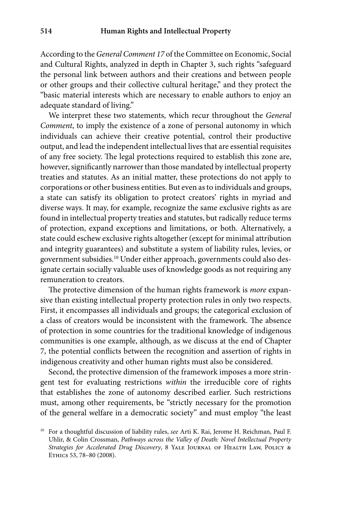According to the *General Comment 17* of the Committee on Economic, Social and Cultural Rights, analyzed in depth in Chapter 3, such rights "safeguard the personal link between authors and their creations and between people or other groups and their collective cultural heritage," and they protect the "basic material interests which are necessary to enable authors to enjoy an adequate standard of living."

 We interpret these two statements, which recur throughout the *General Comment*, to imply the existence of a zone of personal autonomy in which individuals can achieve their creative potential, control their productive output, and lead the independent intellectual lives that are essential requisites of any free society. The legal protections required to establish this zone are, however, significantly narrower than those mandated by intellectual property treaties and statutes. As an initial matter, these protections do not apply to corporations or other business entities. But even as to individuals and groups, a state can satisfy its obligation to protect creators' rights in myriad and diverse ways. It may, for example, recognize the same exclusive rights as are found in intellectual property treaties and statutes, but radically reduce terms of protection, expand exceptions and limitations, or both. Alternatively, a state could eschew exclusive rights altogether (except for minimal attribution and integrity guarantees) and substitute a system of liability rules, levies, or government subsidies. 10 Under either approach, governments could also designate certain socially valuable uses of knowledge goods as not requiring any remuneration to creators.

The protective dimension of the human rights framework is *more* expansive than existing intellectual property protection rules in only two respects. First, it encompasses all individuals and groups; the categorical exclusion of a class of creators would be inconsistent with the framework. The absence of protection in some countries for the traditional knowledge of indigenous communities is one example, although, as we discuss at the end of Chapter 7, the potential conflicts between the recognition and assertion of rights in indigenous creativity and other human rights must also be considered.

 Second, the protective dimension of the framework imposes a more stringent test for evaluating restrictions *within* the irreducible core of rights that establishes the zone of autonomy described earlier. Such restrictions must, among other requirements, be "strictly necessary for the promotion of the general welfare in a democratic society" and must employ "the least

<sup>10</sup> For a thoughtful discussion of liability rules, *see* Arti K. Rai, Jerome H. Reichman, Paul F. Uhlir, & Colin Crossman, *Pathways across the Valley of Death: Novel Intellectual Property Strategies for Accelerated Drug Discovery* , 8 Yale Journal of Health Law, Policy & Ethics 53, 78–80 (2008).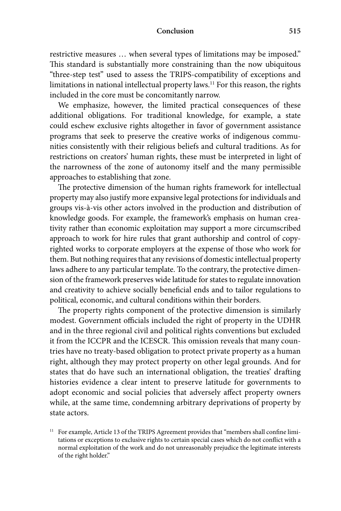restrictive measures … when several types of limitations may be imposed." This standard is substantially more constraining than the now ubiquitous "three-step test" used to assess the TRIPS-compatibility of exceptions and limitations in national intellectual property laws.<sup>11</sup> For this reason, the rights included in the core must be concomitantly narrow.

 We emphasize, however, the limited practical consequences of these additional obligations. For traditional knowledge, for example, a state could eschew exclusive rights altogether in favor of government assistance programs that seek to preserve the creative works of indigenous communities consistently with their religious beliefs and cultural traditions. As for restrictions on creators' human rights, these must be interpreted in light of the narrowness of the zone of autonomy itself and the many permissible approaches to establishing that zone.

The protective dimension of the human rights framework for intellectual property may also justify more expansive legal protections for individuals and groups vis-à-vis other actors involved in the production and distribution of knowledge goods. For example, the framework's emphasis on human creativity rather than economic exploitation may support a more circumscribed approach to work for hire rules that grant authorship and control of copyrighted works to corporate employers at the expense of those who work for them. But nothing requires that any revisions of domestic intellectual property laws adhere to any particular template. To the contrary, the protective dimension of the framework preserves wide latitude for states to regulate innovation and creativity to achieve socially beneficial ends and to tailor regulations to political, economic, and cultural conditions within their borders.

The property rights component of the protective dimension is similarly modest. Government officials included the right of property in the UDHR and in the three regional civil and political rights conventions but excluded it from the ICCPR and the ICESCR. This omission reveals that many countries have no treaty-based obligation to protect private property as a human right, although they may protect property on other legal grounds. And for states that do have such an international obligation, the treaties' drafting histories evidence a clear intent to preserve latitude for governments to adopt economic and social policies that adversely affect property owners while, at the same time, condemning arbitrary deprivations of property by state actors.

 $11$  For example, Article 13 of the TRIPS Agreement provides that "members shall confine limitations or exceptions to exclusive rights to certain special cases which do not conflict with a normal exploitation of the work and do not unreasonably prejudice the legitimate interests of the right holder."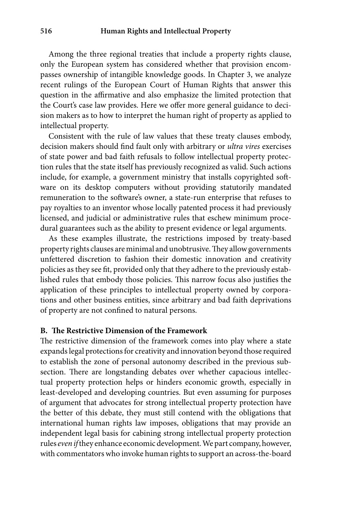Among the three regional treaties that include a property rights clause, only the European system has considered whether that provision encompasses ownership of intangible knowledge goods. In Chapter 3, we analyze recent rulings of the European Court of Human Rights that answer this question in the affirmative and also emphasize the limited protection that the Court's case law provides. Here we offer more general guidance to decision makers as to how to interpret the human right of property as applied to intellectual property.

 Consistent with the rule of law values that these treaty clauses embody, decision makers should find fault only with arbitrary or *ultra vires* exercises of state power and bad faith refusals to follow intellectual property protection rules that the state itself has previously recognized as valid. Such actions include, for example, a government ministry that installs copyrighted software on its desktop computers without providing statutorily mandated remuneration to the software's owner, a state-run enterprise that refuses to pay royalties to an inventor whose locally patented process it had previously licensed, and judicial or administrative rules that eschew minimum procedural guarantees such as the ability to present evidence or legal arguments.

 As these examples illustrate, the restrictions imposed by treaty-based property rights clauses are minimal and unobtrusive. They allow governments unfettered discretion to fashion their domestic innovation and creativity policies as they see fit, provided only that they adhere to the previously established rules that embody those policies. This narrow focus also justifies the application of these principles to intellectual property owned by corporations and other business entities, since arbitrary and bad faith deprivations of property are not confined to natural persons.

## **B.** The Restrictive Dimension of the Framework

The restrictive dimension of the framework comes into play where a state expands legal protections for creativity and innovation beyond those required to establish the zone of personal autonomy described in the previous subsection. There are longstanding debates over whether capacious intellectual property protection helps or hinders economic growth, especially in least-developed and developing countries. But even assuming for purposes of argument that advocates for strong intellectual property protection have the better of this debate, they must still contend with the obligations that international human rights law imposes, obligations that may provide an independent legal basis for cabining strong intellectual property protection rules *even if* they enhance economic development. We part company, however, with commentators who invoke human rights to support an across-the-board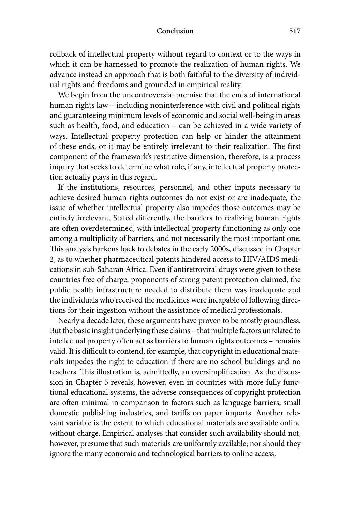rollback of intellectual property without regard to context or to the ways in which it can be harnessed to promote the realization of human rights. We advance instead an approach that is both faithful to the diversity of individual rights and freedoms and grounded in empirical reality.

 We begin from the uncontroversial premise that the ends of international human rights law – including noninterference with civil and political rights and guaranteeing minimum levels of economic and social well-being in areas such as health, food, and education – can be achieved in a wide variety of ways. Intellectual property protection can help or hinder the attainment of these ends, or it may be entirely irrelevant to their realization. The first component of the framework's restrictive dimension, therefore, is a process inquiry that seeks to determine what role, if any, intellectual property protection actually plays in this regard.

 If the institutions, resources, personnel, and other inputs necessary to achieve desired human rights outcomes do not exist or are inadequate, the issue of whether intellectual property also impedes those outcomes may be entirely irrelevant. Stated differently, the barriers to realizing human rights are often overdetermined, with intellectual property functioning as only one among a multiplicity of barriers, and not necessarily the most important one. This analysis harkens back to debates in the early 2000s, discussed in Chapter 2, as to whether pharmaceutical patents hindered access to HIV/AIDS medications in sub-Saharan Africa. Even if antiretroviral drugs were given to these countries free of charge, proponents of strong patent protection claimed, the public health infrastructure needed to distribute them was inadequate and the individuals who received the medicines were incapable of following directions for their ingestion without the assistance of medical professionals.

 Nearly a decade later, these arguments have proven to be mostly groundless. But the basic insight underlying these claims – that multiple factors unrelated to intellectual property often act as barriers to human rights outcomes - remains valid. It is difficult to contend, for example, that copyright in educational materials impedes the right to education if there are no school buildings and no teachers. This illustration is, admittedly, an oversimplification. As the discussion in Chapter 5 reveals, however, even in countries with more fully functional educational systems, the adverse consequences of copyright protection are often minimal in comparison to factors such as language barriers, small domestic publishing industries, and tariffs on paper imports. Another relevant variable is the extent to which educational materials are available online without charge. Empirical analyses that consider such availability should not, however, presume that such materials are uniformly available; nor should they ignore the many economic and technological barriers to online access.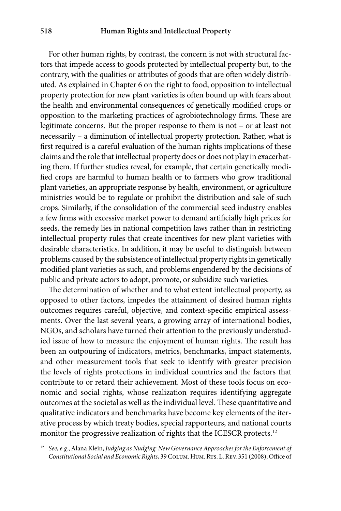For other human rights, by contrast, the concern is not with structural factors that impede access to goods protected by intellectual property but, to the contrary, with the qualities or attributes of goods that are often widely distributed. As explained in Chapter 6 on the right to food, opposition to intellectual property protection for new plant varieties is often bound up with fears about the health and environmental consequences of genetically modified crops or opposition to the marketing practices of agrobiotechnology firms. These are legitimate concerns. But the proper response to them is not – or at least not necessarily – a diminution of intellectual property protection. Rather, what is first required is a careful evaluation of the human rights implications of these claims and the role that intellectual property does or does not play in exacerbating them. If further studies reveal, for example, that certain genetically modified crops are harmful to human health or to farmers who grow traditional plant varieties, an appropriate response by health, environment, or agriculture ministries would be to regulate or prohibit the distribution and sale of such crops. Similarly, if the consolidation of the commercial seed industry enables a few firms with excessive market power to demand artificially high prices for seeds, the remedy lies in national competition laws rather than in restricting intellectual property rules that create incentives for new plant varieties with desirable characteristics. In addition, it may be useful to distinguish between problems caused by the subsistence of intellectual property rights in genetically modified plant varieties as such, and problems engendered by the decisions of public and private actors to adopt, promote, or subsidize such varieties.

The determination of whether and to what extent intellectual property, as opposed to other factors, impedes the attainment of desired human rights outcomes requires careful, objective, and context-specific empirical assessments. Over the last several years, a growing array of international bodies, NGOs, and scholars have turned their attention to the previously understudied issue of how to measure the enjoyment of human rights. The result has been an outpouring of indicators, metrics, benchmarks, impact statements, and other measurement tools that seek to identify with greater precision the levels of rights protections in individual countries and the factors that contribute to or retard their achievement. Most of these tools focus on economic and social rights, whose realization requires identifying aggregate outcomes at the societal as well as the individual level. These quantitative and qualitative indicators and benchmarks have become key elements of the iterative process by which treaty bodies, special rapporteurs, and national courts monitor the progressive realization of rights that the ICESCR protects.<sup>12</sup>

12 *See, e.g* ., Alana Klein, *Judging as Nudging: New Governance Approaches for the Enforcement of*  Constitutional Social and Economic Rights, 39 COLUM. HUM. RTS. L. REV. 351 (2008); Office of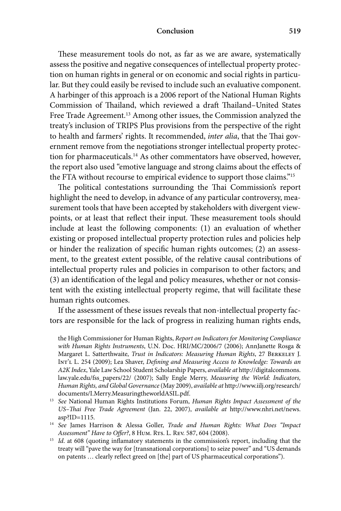These measurement tools do not, as far as we are aware, systematically assess the positive and negative consequences of intellectual property protection on human rights in general or on economic and social rights in particular. But they could easily be revised to include such an evaluative component. A harbinger of this approach is a 2006 report of the National Human Rights Commission of Thailand, which reviewed a draft Thailand–United States Free Trade Agreement.<sup>13</sup> Among other issues, the Commission analyzed the treaty's inclusion of TRIPS Plus provisions from the perspective of the right to health and farmers' rights. It recommended, *inter alia*, that the Thai government remove from the negotiations stronger intellectual property protection for pharmaceuticals. 14 As other commentators have observed, however, the report also used "emotive language and strong claims about the effects of the FTA without recourse to empirical evidence to support those claims."<sup>15</sup>

The political contestations surrounding the Thai Commission's report highlight the need to develop, in advance of any particular controversy, measurement tools that have been accepted by stakeholders with divergent viewpoints, or at least that reflect their input. These measurement tools should include at least the following components: (1) an evaluation of whether existing or proposed intellectual property protection rules and policies help or hinder the realization of specific human rights outcomes; (2) an assessment, to the greatest extent possible, of the relative causal contributions of intellectual property rules and policies in comparison to other factors; and (3) an identification of the legal and policy measures, whether or not consistent with the existing intellectual property regime, that will facilitate these human rights outcomes.

 If the assessment of these issues reveals that non-intellectual property factors are responsible for the lack of progress in realizing human rights ends,

the High Commissioner for Human Rights, *Report on Indicators for Monitoring Compliance with Human Rights Instruments* , U.N. Doc. HRI/MC/2006/7 (2006); AnnJanette Rosga & Margaret L. Satterthwaite, *Trust in Indicators: Measuring Human Rights* , 27 Berkeley J. INT'L L. 254 (2009); Lea Shaver, *Defining and Measuring Access to Knowledge: Towards an A2K Index* , Yale Law School Student Scholarship Papers, *available at* http://digitalcommons. law.yale.edu/fss\_papers/22/ (2007); Sally Engle Merry, *Measuring the World: Indicators, Human Rights, and Global Governance* (May 2009), *available at* http://www.iilj.org/research/ documents/I.Merry.MeasuringtheworldASIL.pdf . 13 *See* National Human Rights Institutions Forum, *Human Rights Impact Assessment of the* 

- *US–Th ai Free Trade Agreement* (Jan. 22, 2007), *available at* http://www.nhri.net/news. asp?ID=1115.<br><sup>14</sup> See James Harrison & Alessa Goller, *Trade and Human Rights: What Does "Impact*
- *Assessment" Have to Offer?*, 8 Hum. Rts. L. Rev. 587, 604 (2008).<br><sup>15</sup> *Id.* at 608 (quoting inflamatory statements in the commission's report, including that the
- treaty will "pave the way for [transnational corporations] to seize power" and "US demands on patents ... clearly reflect greed on [the] part of US pharmaceutical corporations").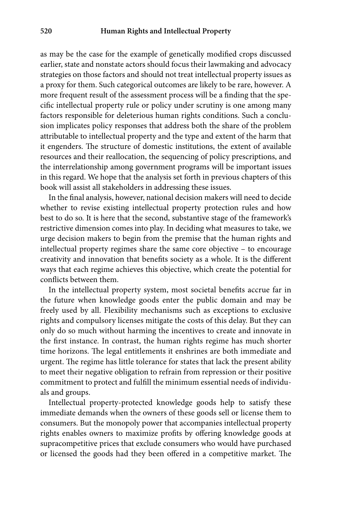as may be the case for the example of genetically modified crops discussed earlier, state and nonstate actors should focus their lawmaking and advocacy strategies on those factors and should not treat intellectual property issues as a proxy for them. Such categorical outcomes are likely to be rare, however. A more frequent result of the assessment process will be a finding that the specific intellectual property rule or policy under scrutiny is one among many factors responsible for deleterious human rights conditions. Such a conclusion implicates policy responses that address both the share of the problem attributable to intellectual property and the type and extent of the harm that it engenders. The structure of domestic institutions, the extent of available resources and their reallocation, the sequencing of policy prescriptions, and the interrelationship among government programs will be important issues in this regard. We hope that the analysis set forth in previous chapters of this book will assist all stakeholders in addressing these issues.

In the final analysis, however, national decision makers will need to decide whether to revise existing intellectual property protection rules and how best to do so. It is here that the second, substantive stage of the framework's restrictive dimension comes into play. In deciding what measures to take, we urge decision makers to begin from the premise that the human rights and intellectual property regimes share the same core objective – to encourage creativity and innovation that benefits society as a whole. It is the different ways that each regime achieves this objective, which create the potential for conflicts between them.

In the intellectual property system, most societal benefits accrue far in the future when knowledge goods enter the public domain and may be freely used by all. Flexibility mechanisms such as exceptions to exclusive rights and compulsory licenses mitigate the costs of this delay. But they can only do so much without harming the incentives to create and innovate in the first instance. In contrast, the human rights regime has much shorter time horizons. The legal entitlements it enshrines are both immediate and urgent. The regime has little tolerance for states that lack the present ability to meet their negative obligation to refrain from repression or their positive commitment to protect and fulfill the minimum essential needs of individuals and groups.

 Intellectual property-protected knowledge goods help to satisfy these immediate demands when the owners of these goods sell or license them to consumers. But the monopoly power that accompanies intellectual property rights enables owners to maximize profits by offering knowledge goods at supracompetitive prices that exclude consumers who would have purchased or licensed the goods had they been offered in a competitive market. The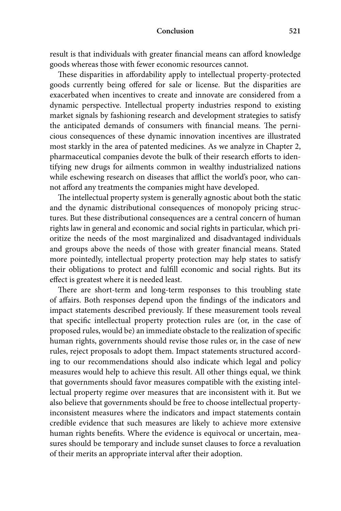result is that individuals with greater financial means can afford knowledge goods whereas those with fewer economic resources cannot.

These disparities in affordability apply to intellectual property-protected goods currently being offered for sale or license. But the disparities are exacerbated when incentives to create and innovate are considered from a dynamic perspective. Intellectual property industries respond to existing market signals by fashioning research and development strategies to satisfy the anticipated demands of consumers with financial means. The pernicious consequences of these dynamic innovation incentives are illustrated most starkly in the area of patented medicines. As we analyze in Chapter 2, pharmaceutical companies devote the bulk of their research efforts to identifying new drugs for ailments common in wealthy industrialized nations while eschewing research on diseases that afflict the world's poor, who cannot afford any treatments the companies might have developed.

The intellectual property system is generally agnostic about both the static and the dynamic distributional consequences of monopoly pricing structures. But these distributional consequences are a central concern of human rights law in general and economic and social rights in particular, which prioritize the needs of the most marginalized and disadvantaged individuals and groups above the needs of those with greater financial means. Stated more pointedly, intellectual property protection may help states to satisfy their obligations to protect and fulfill economic and social rights. But its effect is greatest where it is needed least.

There are short-term and long-term responses to this troubling state of affairs. Both responses depend upon the findings of the indicators and impact statements described previously. If these measurement tools reveal that specific intellectual property protection rules are (or, in the case of proposed rules, would be) an immediate obstacle to the realization of specific human rights, governments should revise those rules or, in the case of new rules, reject proposals to adopt them. Impact statements structured according to our recommendations should also indicate which legal and policy measures would help to achieve this result. All other things equal, we think that governments should favor measures compatible with the existing intellectual property regime over measures that are inconsistent with it. But we also believe that governments should be free to choose intellectual propertyinconsistent measures where the indicators and impact statements contain credible evidence that such measures are likely to achieve more extensive human rights benefits. Where the evidence is equivocal or uncertain, measures should be temporary and include sunset clauses to force a revaluation of their merits an appropriate interval after their adoption.